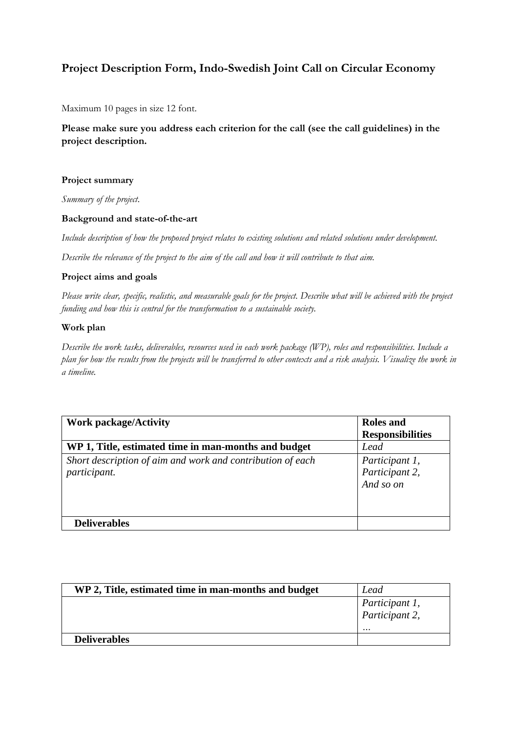# **Project Description Form, Indo-Swedish Joint Call on Circular Economy**

Maximum 10 pages in size 12 font.

**Please make sure you address each criterion for the call (see the call guidelines) in the project description.**

# **Project summary**

*Summary of the project*.

## **Background and state-of-the-art**

*Include description of how the proposed project relates to existing solutions and related solutions under development.* 

*Describe the relevance of the project to the aim of the call and how it will contribute to that aim.*

# **Project aims and goals**

*Please write clear, specific, realistic, and measurable goals for the project. Describe what will be achieved with the project funding and how this is central for the transformation to a sustainable society.* 

# **Work plan**

*Describe the work tasks, deliverables, resources used in each work package (WP), roles and responsibilities. Include a plan for how the results from the projects will be transferred to other contexts and a risk analysis. Visualize the work in a timeline.* 

| <b>Work package/Activity</b>                                               | <b>Roles</b> and<br><b>Responsibilities</b>   |
|----------------------------------------------------------------------------|-----------------------------------------------|
| WP 1, Title, estimated time in man-months and budget                       | Lead                                          |
| Short description of aim and work and contribution of each<br>participant. | Participant 1,<br>Participant 2,<br>And so on |
| <b>Deliverables</b>                                                        |                                               |

| WP 2, Title, estimated time in man-months and budget | Lead                                         |
|------------------------------------------------------|----------------------------------------------|
|                                                      | Participant 1,<br>Participant 2,<br>$\cdots$ |
| <b>Deliverables</b>                                  |                                              |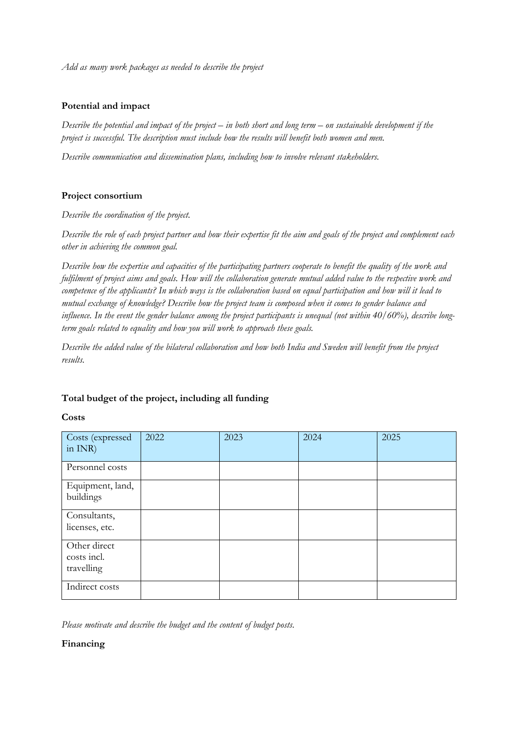*Add as many work packages as needed to describe the project*

# **Potential and impact**

*Describe the potential and impact of the project – in both short and long term – on sustainable development if the project is successful. The description must include how the results will benefit both women and men.*

*Describe communication and dissemination plans, including how to involve relevant stakeholders.*

# **Project consortium**

*Describe the coordination of the project.*

*Describe the role of each project partner and how their expertise fit the aim and goals of the project and complement each other in achieving the common goal.*

*Describe how the expertise and capacities of the participating partners cooperate to benefit the quality of the work and fulfilment of project aims and goals. How will the collaboration generate mutual added value to the respective work and competence of the applicants? In which ways is the collaboration based on equal participation and how will it lead to mutual exchange of knowledge? Describe how the project team is composed when it comes to gender balance and influence. In the event the gender balance among the project participants is unequal (not within 40/60%), describe longterm goals related to equality and how you will work to approach these goals.* 

*Describe the added value of the bilateral collaboration and how both India and Sweden will benefit from the project results.*

## **Total budget of the project, including all funding**

**Costs**

| Costs (expressed<br>in $INR$ )            | 2022 | 2023 | 2024 | 2025 |
|-------------------------------------------|------|------|------|------|
| Personnel costs                           |      |      |      |      |
| Equipment, land,<br>buildings             |      |      |      |      |
| Consultants,<br>licenses, etc.            |      |      |      |      |
| Other direct<br>costs incl.<br>travelling |      |      |      |      |
| Indirect costs                            |      |      |      |      |

*Please motivate and describe the budget and the content of budget posts.* 

## **Financing**